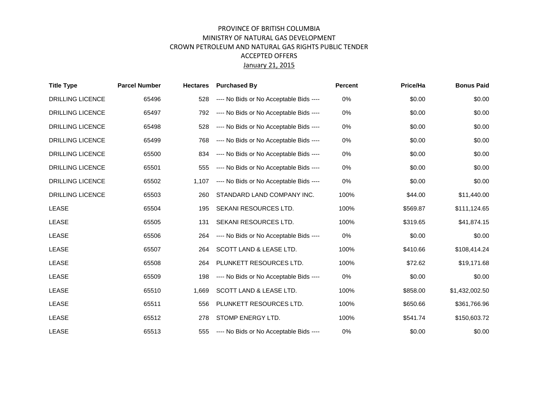## PROVINCE OF BRITISH COLUMBIA MINISTRY OF NATURAL GAS DEVELOPMENT CROWN PETROLEUM AND NATURAL GAS RIGHTS PUBLIC TENDER ACCEPTED OFFERS January 21, 2015

| <b>Title Type</b>       | <b>Parcel Number</b> | <b>Hectares</b> | <b>Purchased By</b>                     | <b>Percent</b> | Price/Ha | <b>Bonus Paid</b> |
|-------------------------|----------------------|-----------------|-----------------------------------------|----------------|----------|-------------------|
| <b>DRILLING LICENCE</b> | 65496                | 528             | ---- No Bids or No Acceptable Bids ---- | 0%             | \$0.00   | \$0.00            |
| <b>DRILLING LICENCE</b> | 65497                | 792             | ---- No Bids or No Acceptable Bids ---- | $0\%$          | \$0.00   | \$0.00            |
| <b>DRILLING LICENCE</b> | 65498                | 528             | ---- No Bids or No Acceptable Bids ---- | $0\%$          | \$0.00   | \$0.00            |
| <b>DRILLING LICENCE</b> | 65499                | 768             | ---- No Bids or No Acceptable Bids ---- | 0%             | \$0.00   | \$0.00            |
| <b>DRILLING LICENCE</b> | 65500                | 834             | ---- No Bids or No Acceptable Bids ---- | $0\%$          | \$0.00   | \$0.00            |
| <b>DRILLING LICENCE</b> | 65501                | 555             | ---- No Bids or No Acceptable Bids ---- | 0%             | \$0.00   | \$0.00            |
| <b>DRILLING LICENCE</b> | 65502                | 1.107           | ---- No Bids or No Acceptable Bids ---- | $0\%$          | \$0.00   | \$0.00            |
| <b>DRILLING LICENCE</b> | 65503                | 260             | STANDARD LAND COMPANY INC.              | 100%           | \$44.00  | \$11,440.00       |
| <b>LEASE</b>            | 65504                | 195             | SEKANI RESOURCES LTD.                   | 100%           | \$569.87 | \$111,124.65      |
| <b>LEASE</b>            | 65505                | 131             | SEKANI RESOURCES LTD.                   | 100%           | \$319.65 | \$41,874.15       |
| <b>LEASE</b>            | 65506                | 264             | ---- No Bids or No Acceptable Bids ---- | 0%             | \$0.00   | \$0.00            |
| <b>LEASE</b>            | 65507                | 264             | SCOTT LAND & LEASE LTD.                 | 100%           | \$410.66 | \$108,414.24      |
| <b>LEASE</b>            | 65508                | 264             | PLUNKETT RESOURCES LTD.                 | 100%           | \$72.62  | \$19,171.68       |
| <b>LEASE</b>            | 65509                | 198             | ---- No Bids or No Acceptable Bids ---- | 0%             | \$0.00   | \$0.00            |
| <b>LEASE</b>            | 65510                | 1,669           | SCOTT LAND & LEASE LTD.                 | 100%           | \$858.00 | \$1,432,002.50    |
| <b>LEASE</b>            | 65511                | 556             | PLUNKETT RESOURCES LTD.                 | 100%           | \$650.66 | \$361,766.96      |
| <b>LEASE</b>            | 65512                | 278             | STOMP ENERGY LTD.                       | 100%           | \$541.74 | \$150,603.72      |
| <b>LEASE</b>            | 65513                | 555             | ---- No Bids or No Acceptable Bids ---- | 0%             | \$0.00   | \$0.00            |